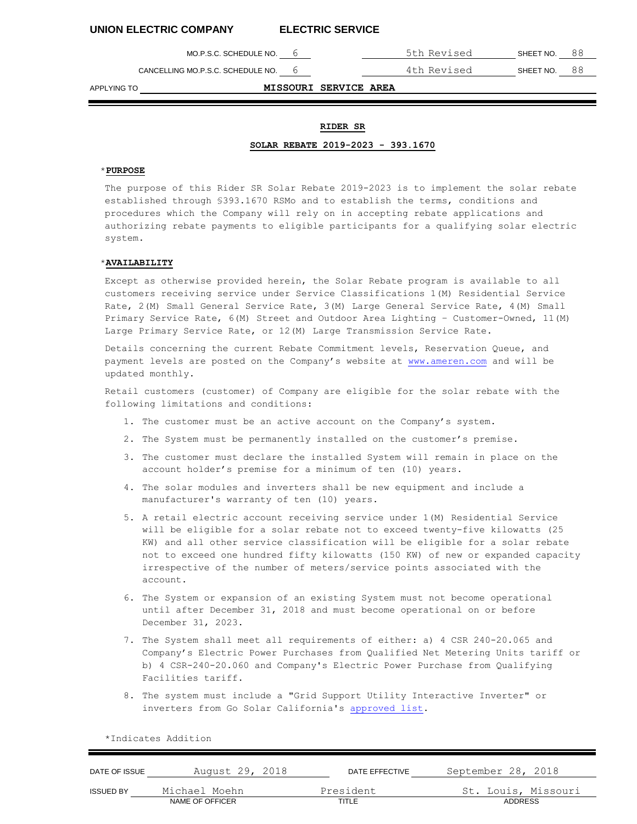MO.P.S.C. SCHEDULE NO. 6 5th Revised SHEET NO. 88

CANCELLING MO.P.S.C. SCHEDULE NO. 6 4th Revised SHEET NO. 88

APPLYING TO **MISSOURI SERVICE AREA**

# **RIDER SR**

## **SOLAR REBATE 2019-2023 - 393.1670**

# \***PURPOSE**

The purpose of this Rider SR Solar Rebate 2019-2023 is to implement the solar rebate established through §393.1670 RSMo and to establish the terms, conditions and procedures which the Company will rely on in accepting rebate applications and authorizing rebate payments to eligible participants for a qualifying solar electric system.

## \***AVAILABILITY**

Except as otherwise provided herein, the Solar Rebate program is available to all customers receiving service under Service Classifications 1(M) Residential Service Rate, 2(M) Small General Service Rate, 3(M) Large General Service Rate, 4(M) Small Primary Service Rate, 6(M) Street and Outdoor Area Lighting – Customer-Owned, 11(M) Large Primary Service Rate, or 12(M) Large Transmission Service Rate.

Details concerning the current Rebate Commitment levels, Reservation Queue, and payment levels are posted on the Company's website at www.ameren.com and will be updated monthly.

Retail customers (customer) of Company are eligible for the solar rebate with the following limitations an[d conditions:](http://www.ameren.com/)

- 1. The customer must be an active account on the Company's system.
- 2. The System must be permanently installed on the customer's premise.
- 3. The customer must declare the installed System will remain in place on the account holder's premise for a minimum of ten (10) years.
- 4. The solar modules and inverters shall be new equipment and include a manufacturer's warranty of ten (10) years.
- 5. A retail electric account receiving service under 1(M) Residential Service will be eligible for a solar rebate not to exceed twenty-five kilowatts (25 KW) and all other service classification will be eligible for a solar rebate not to exceed one hundred fifty kilowatts (150 KW) of new or expanded capacity irrespective of the number of meters/service points associated with the account.
- 6. The System or expansion of an existing System must not become operational until after December 31, 2018 and must become operational on or before December 31, 2023.
- 7. The System shall meet all requirements of either: a) 4 CSR 240-20.065 and Company's Electric Power Purchases from Qualified Net Metering Units tariff or b) 4 CSR-240-20.060 and Company's Electric Power Purchase from Qualifying Facilities tariff.
- 8. The system must include a "Grid Support Utility Interactive Inverter" or inverters from Go Solar California's approved list.

DATE OF ISSUE August 29, 2018 DATE EFFECTIVE September 28, 2018 ISSUED BY Michael Moehn President St. Louis, Missouri NAME OF OFFICER TITLE TITLE TITLE ADDRESS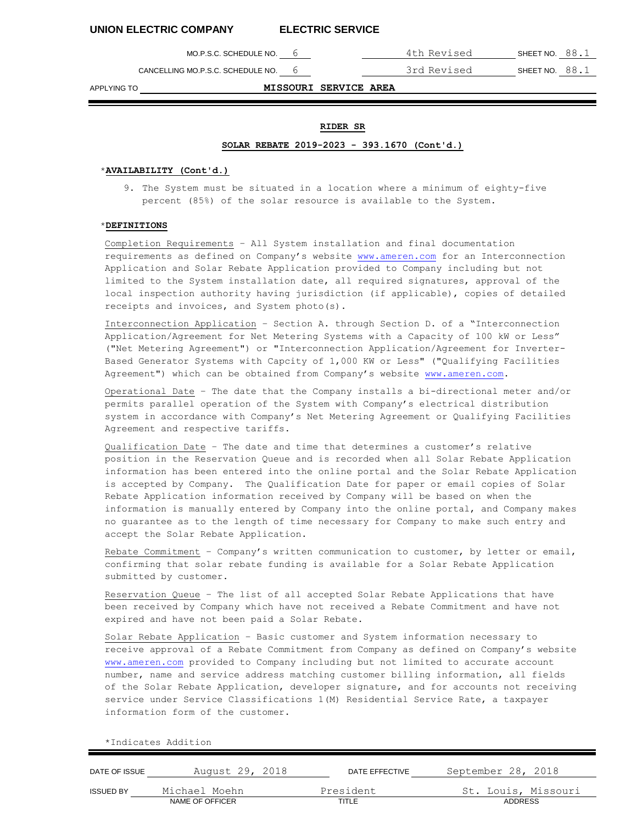CANCELLING MO.P.S.C. SCHEDULE NO. 6 3rd Revised SHEET NO. 88.1

MO.P.S.C. SCHEDULE NO. 6 4th Revised SHEET NO. 88.1

APPLYING TO **MISSOURI SERVICE AREA**

# **RIDER SR**

### **SOLAR REBATE 2019-2023 - 393.1670 (Cont'd.)**

# \***AVAILABILITY (Cont'd.)**

9. The System must be situated in a location where a minimum of eighty-five percent (85%) of the solar resource is available to the System.

### \***DEFINITIONS**

Completion Requirements – All System installation and final documentation requirements as defined on Company's website www.ameren.com for an Interconnection Application and Solar Rebate Application provided to Company including but not limited [to the System i](http://www.ameren.com/)nstallation date, all required signatures, approval of the local inspection authority having jurisdiction (if applicable), copies of detailed receipts and invoices, and System photo(s).

Interconnection Application – Section A. through Section D. of a "Interconnection Application/Agreement for Net Metering Systems with a Capacity of 100 kW or Less" ("Net Metering Agreement") or "Interconnection Application/Agreement for Inverter-Based Generator Systems with Capcity of 1,00[0 KW or Less" \("](http://www.ameren.com/)Qualifying Facilities Agreement") which can be obtained from Company's website www.ameren.com.

Operational Date – The date that the Company installs a bi-directional meter and/or permits parallel operation of the System with Company's electrical distribution system in accordance with Company's Net Metering Agreement or Qualifying Facilities Agreement and respective tariffs.

Qualification Date – The date and time that determines a customer's relative position in the Reservation Queue and is rec[orded when all S](http://www.ameren.com/)olar Rebate Application information has been entered into the online portal and the Solar Rebate Application is accepted by Company. The Qualification Date for paper or email copies of Solar Rebate Application information received by Company will be based on when the information is manually entered by Company into the online portal, and Company makes no guarantee as to the length of time necessary for Company to make such entry and accept the Solar Rebate Application.

Rebate Commitment – Company's written communication to customer, by letter or email, confirming that solar rebate funding is available for a Solar Rebate Application submitted by customer.

Reservation Queue – The list of all accepted Solar Rebate Applications that have been received by Company which have not received a Rebate Commitment and have not expired and have not been paid a Solar Rebate.

Solar Rebate Application – Basic customer and System information necessary to receive approval of a Rebate Commitment from Company as defined on Company's website www.ameren.com provided to Company including but not limited to accurate account number, name and service address matching cu[stomer billing i](http://www.ameren.com/)nformation, all fields of the Solar Rebate Application, developer signature, and for accounts not receiving service under Service Classifications 1(M) Residential Service Rate, a taxpayer information form of the customer.

DATE OF ISSUE August 29, 2018 DATE EFFECTIVE September 28, 2018 ISSUED BY Michael Moehn President St. Louis, Missouri NAME OF OFFICER TITLE ADDRESS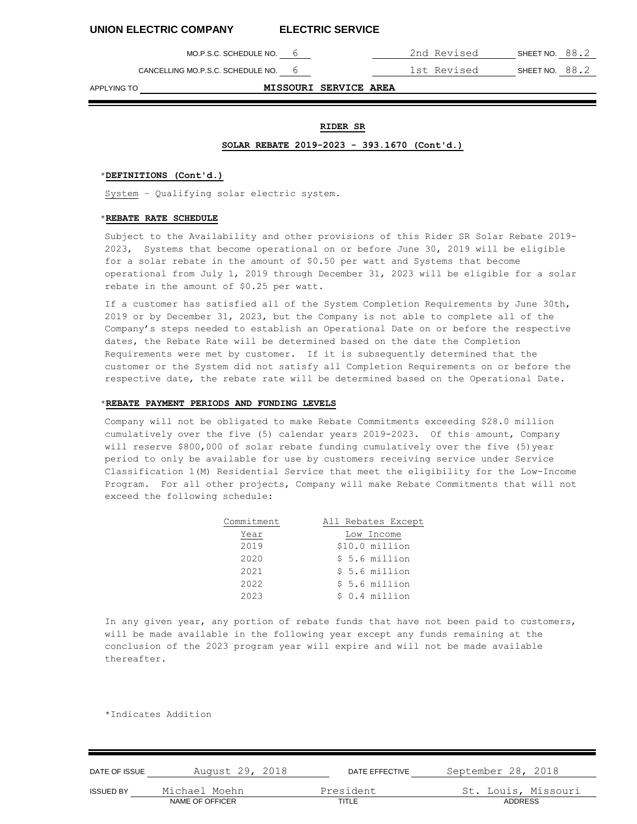CANCELLING MO.P.S.C. SCHEDULE NO. 6 1st Revised SHEET NO. 88.2

MO.P.S.C. SCHEDULE NO. 6 2nd Revised SHEET NO. 88.2

APPLYING TO **MISSOURI SERVICE AREA**

# **RIDER SR**

### **SOLAR REBATE 2019-2023 - 393.1670 (Cont'd.)**

### \***DEFINITIONS (Cont'd.)**

System – Qualifying solar electric system.

### \***REBATE RATE SCHEDULE**

Subject to the Availability and other provisions of this Rider SR Solar Rebate 2019- 2023, Systems that become operational on or before June 30, 2019 will be eligible for a solar rebate in the amount of \$0.50 per watt and Systems that become operational from July 1, 2019 through December 31, 2023 will be eligible for a solar rebate in the amount of \$0.25 per watt.

If a customer has satisfied all of the System Completion Requirements by June 30th, 2019 or by December 31, 2023, but the Company is not able to complete all of the Company's steps needed to establish an Operational Date on or before the respective dates, the Rebate Rate will be determined based on the date the Completion Requirements were met by customer. If it is subsequently determined that the customer or the System did not satisfy all Completion Requirements on or before the respective date, the rebate rate will be determined based on the Operational Date.

#### \***REBATE PAYMENT PERIODS AND FUNDING LEVELS**

Company will not be obligated to make Rebate Commitments exceeding \$28.0 million cumulatively over the five (5) calendar years 2019-2023. Of this amount, Company will reserve \$800,000 of solar rebate funding cumulatively over the five (5)year period to only be available for use by customers receiving service under Service Classification 1(M) Residential Service that meet the eligibility for the Low-Income Program. For all other projects, Company will make Rebate Commitments that will not exceed the following schedule:

| Commitment | All Rebates Except |  |  |
|------------|--------------------|--|--|
| Year       | Low Income         |  |  |
| 2019       | \$10.0 million     |  |  |
| 2020       | $$5.6$ million     |  |  |
| 2021       | $$5.6$ million     |  |  |
| 2022       | $$5.6$ million     |  |  |
| 2023       | $$0.4$ million     |  |  |

In any given year, any portion of rebate funds that have not been paid to customers, will be made available in the following year except any funds remaining at the conclusion of the 2023 program year will expire and will not be made available thereafter.

| September 28, 2018                    |
|---------------------------------------|
| St. Louis, Missouri<br><b>ADDRESS</b> |
|                                       |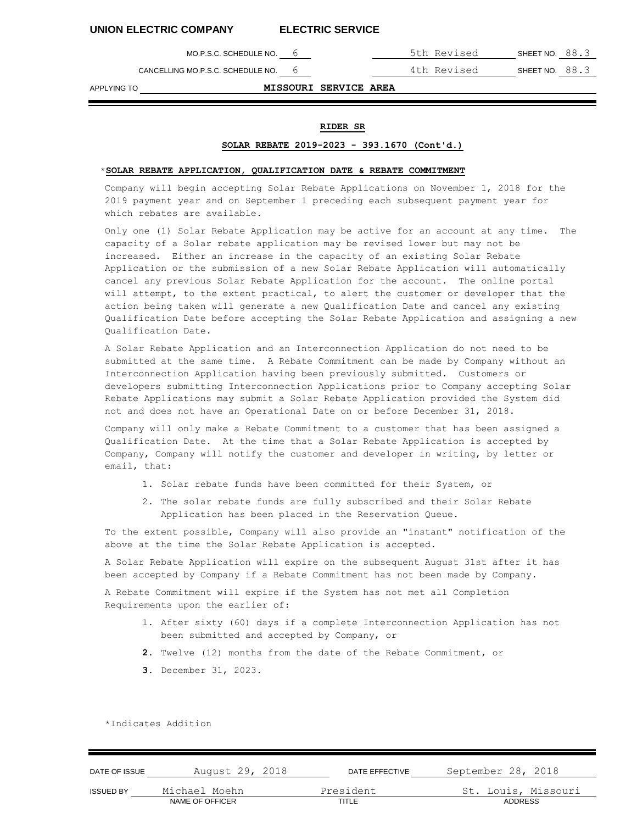CANCELLING MO.P.S.C. SCHEDULE NO. 6 4th Revised SHEET NO. 88.3

MO.P.S.C. SCHEDULE NO. 6 5th Revised SHEET NO. 88.3

APPLYING TO **MISSOURI SERVICE AREA**

# **RIDER SR**

## **SOLAR REBATE 2019-2023 - 393.1670 (Cont'd.)**

# \***SOLAR REBATE APPLICATION, QUALIFICATION DATE & REBATE COMMITMENT**

Company will begin accepting Solar Rebate Applications on November 1, 2018 for the 2019 payment year and on September 1 preceding each subsequent payment year for which rebates are available.

Only one (1) Solar Rebate Application may be active for an account at any time. The capacity of a Solar rebate application may be revised lower but may not be increased. Either an increase in the capacity of an existing Solar Rebate Application or the submission of a new Solar Rebate Application will automatically cancel any previous Solar Rebate Application for the account. The online portal will attempt, to the extent practical, to alert the customer or developer that the action being taken will generate a new Qualification Date and cancel any existing Qualification Date before accepting the Solar Rebate Application and assigning a new Qualification Date.

A Solar Rebate Application and an Interconnection Application do not need to be submitted at the same time. A Rebate Commitment can be made by Company without an Interconnection Application having been previously submitted. Customers or developers submitting Interconnection Applications prior to Company accepting Solar Rebate Applications may submit a Solar Rebate Application provided the System did not and does not have an Operational Date on or before December 31, 2018.

Company will only make a Rebate Commitment to a customer that has been assigned a Qualification Date. At the time that a Solar Rebate Application is accepted by Company, Company will notify the customer and developer in writing, by letter or email, that:

- 1. Solar rebate funds have been committed for their System, or
- 2. The solar rebate funds are fully subscribed and their Solar Rebate Application has been placed in the Reservation Queue.

To the extent possible, Company will also provide an "instant" notification of the above at the time the Solar Rebate Application is accepted.

A Solar Rebate Application will expire on the subsequent August 31st after it has been accepted by Company if a Rebate Commitment has not been made by Company.

A Rebate Commitment will expire if the System has not met all Completion Requirements upon the earlier of:

- 1. After sixty (60) days if a complete Interconnection Application has not been submitted and accepted by Company, or
- **2.** Twelve (12) months from the date of the Rebate Commitment, or
- **3.** December 31, 2023.

| DATE OF ISSUE    | August 29, 2018 | DATE EFFECTIVE | September 28, 2018  |
|------------------|-----------------|----------------|---------------------|
| <b>ISSUED BY</b> | Michael Moehn   | President      | St. Louis, Missouri |
|                  | NAME OF OFFICER | TITLE          | ADDRESS             |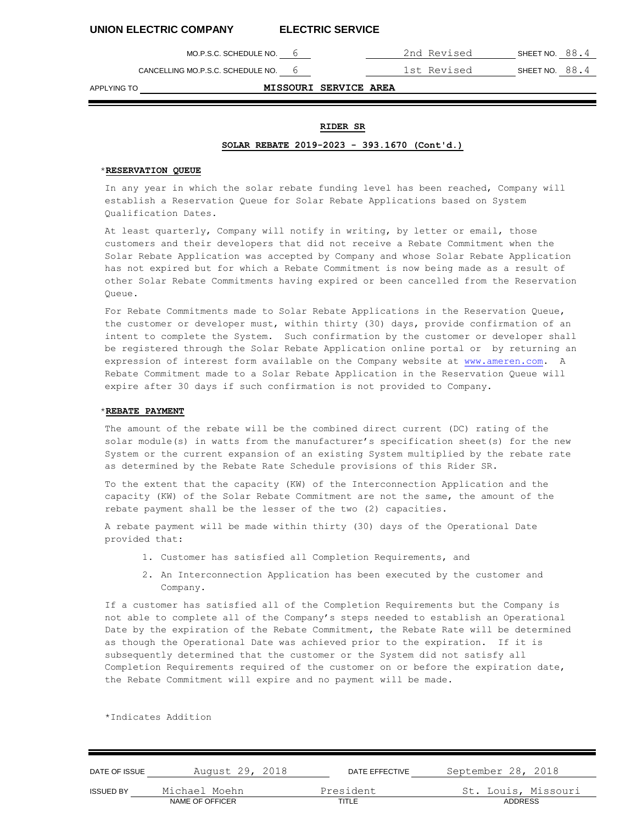MO.P.S.C. SCHEDULE NO. 6 2nd Revised SHEET NO. 88.4

CANCELLING MO.P.S.C. SCHEDULE NO. 6 1st Revised SHEET NO. 88.4

APPLYING TO **MISSOURI SERVICE AREA**

## **RIDER SR**

### **SOLAR REBATE 2019-2023 - 393.1670 (Cont'd.)**

# \***RESERVATION QUEUE**

In any year in which the solar rebate funding level has been reached, Company will establish a Reservation Queue for Solar Rebate Applications based on System Qualification Dates.

At least quarterly, Company will notify in writing, by letter or email, those customers and their developers that did not receive a Rebate Commitment when the Solar Rebate Application was accepted by Company and whose Solar Rebate Application has not expired but for which a Rebate Commitment is now being made as a result of other Solar Rebate Commitments having expired or been cancelled from the Reservation Queue.

For Rebate Commitments made to Solar Rebate Applications in the Reservation Queue, the customer or developer must, within thirty (30) days, provide confirmation of an intent to complete the System. Such confirmation by the customer or developer shall be registered through the Solar Rebate Application online portal or by returning an expression of interest form available on the Company website at www.ameren.com. A Rebate Commitment made to a Solar Rebate Application in the Reservation Queue will expire after 30 days if such confirmation is not provided to Company.

# \***REBATE PAYMENT**

The amount of the rebate will be the combined direct current (DC) rating of the solar module(s) in watts from the manufacturer's specification sheet(s) for the new System or the current expansion of an existing System multiplied by the rebate rate as determined by the Rebate Rate Schedule provisions of this Rider SR.

To the extent that the capacity (KW) of the Interconnection Application and the capacity (KW) of the Solar Rebate Commitment are not the same, the amount of the rebate payment shall be the lesser of the two (2) capacities.

A rebate payment will be made within thirty (30) days of the Operational Date provided that:

- 1. Customer has satisfied all Completion Requirements, and
- 2. An Interconnection Application has been executed by the customer and Company.

If a customer has satisfied all of the Completion Requirements but the Company is not able to complete all of the Company's steps needed to establish an Operational Date by the expiration of the Rebate Commitment, the Rebate Rate will be determined as though the Operational Date was achieved prior to the expiration. If it is subsequently determined that the customer or the System did not satisfy all Completion Requirements required of the customer on or before the expiration date, the Rebate Commitment will expire and no payment will be made.

| DATE OF ISSUE    | August 29, 2018 | DATE EFFECTIVE | September 28, 2018  |
|------------------|-----------------|----------------|---------------------|
| <b>ISSUED BY</b> | Michael Moehn   | President      | St. Louis, Missouri |
|                  | NAME OF OFFICER | TITLE          | <b>ADDRESS</b>      |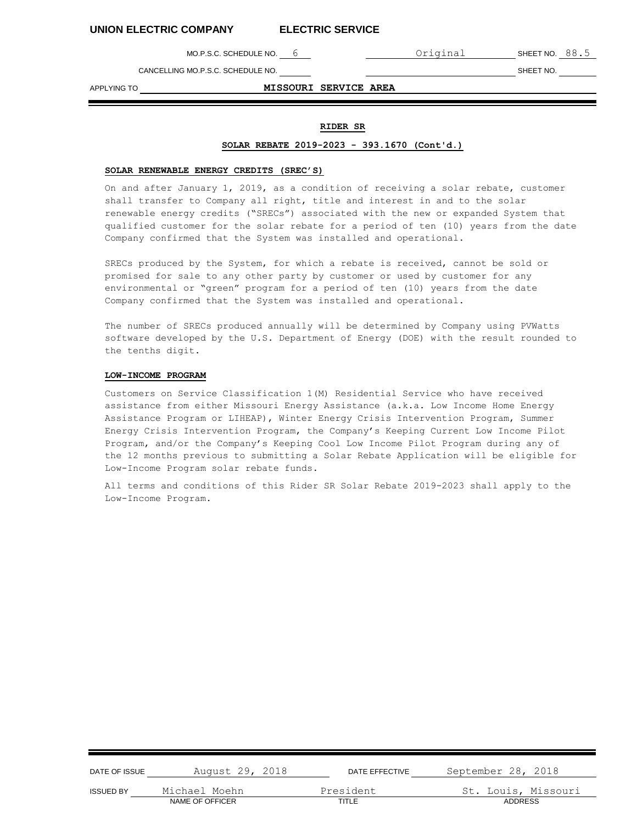MO.P.S.C. SCHEDULE NO. 6 6 0riginal SHEET NO. 88.5

CANCELLING MO.P.S.C. SCHEDULE NO. SHEET NO.

APPLYING TO **MISSOURI SERVICE AREA**

# **RIDER SR**

#### **SOLAR REBATE 2019-2023 - 393.1670 (Cont'd.)**

# **SOLAR RENEWABLE ENERGY CREDITS (SREC'S)**

On and after January 1, 2019, as a condition of receiving a solar rebate, customer shall transfer to Company all right, title and interest in and to the solar renewable energy credits ("SRECs") associated with the new or expanded System that qualified customer for the solar rebate for a period of ten (10) years from the date Company confirmed that the System was installed and operational.

SRECs produced by the System, for which a rebate is received, cannot be sold or promised for sale to any other party by customer or used by customer for any environmental or "green" program for a period of ten (10) years from the date Company confirmed that the System was installed and operational.

The number of SRECs produced annually will be determined by Company using PVWatts software developed by the U.S. Department of Energy (DOE) with the result rounded to the tenths digit.

#### **LOW-INCOME PROGRAM**

Customers on Service Classification 1(M) Residential Service who have received assistance from either Missouri Energy Assistance (a.k.a. Low Income Home Energy Assistance Program or LIHEAP), Winter Energy Crisis Intervention Program, Summer Energy Crisis Intervention Program, the Company's Keeping Current Low Income Pilot Program, and/or the Company's Keeping Cool Low Income Pilot Program during any of the 12 months previous to submitting a Solar Rebate Application will be eligible for Low-Income Program solar rebate funds.

All terms and conditions of this Rider SR Solar Rebate 2019-2023 shall apply to the Low-Income Program.

| DATE OF ISSUE    | August 29, 2018 | DATE EFFECTIVE | September 28, 2018  |
|------------------|-----------------|----------------|---------------------|
| <b>ISSUED BY</b> | Michael Moehn   | President      | St. Louis, Missouri |
|                  | NAME OF OFFICER | TITLE          | <b>ADDRESS</b>      |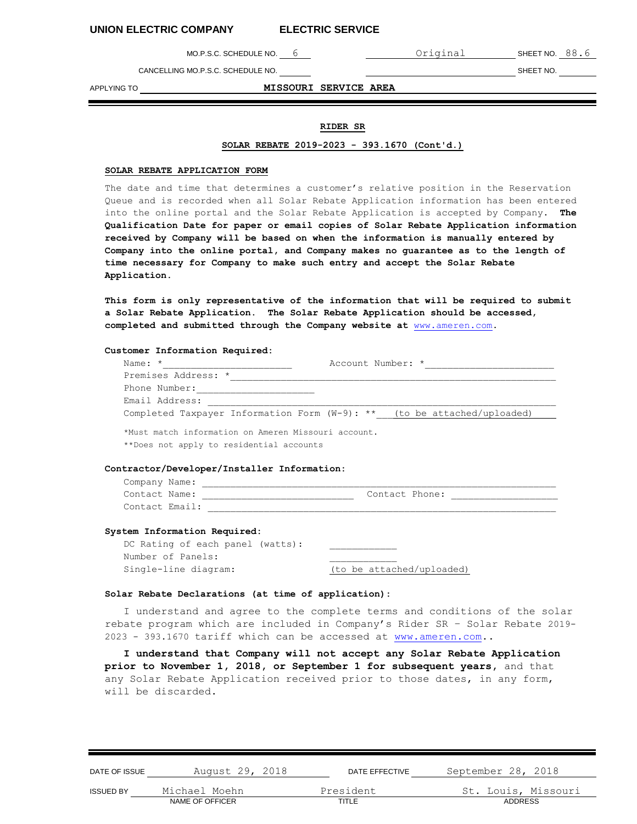MO.P.S.C. SCHEDULE NO. 6 6 0riginal SHEET NO. 88.6

CANCELLING MO.P.S.C. SCHEDULE NO. SHEET NO.

APPLYING TO **MISSOURI SERVICE AREA**

# **RIDER SR**

#### **SOLAR REBATE 2019-2023 - 393.1670 (Cont'd.)**

# **SOLAR REBATE APPLICATION FORM**

The date and time that determines a customer's relative position in the Reservation Queue and is recorded when all Solar Rebate Application information has been entered into the online portal and the Solar Rebate Application is accepted by Company. **The Qualification Date for paper or email copies of Solar Rebate Application information received by Company will be based on when the information is manually entered by Company into the online portal, and Company makes no guarantee as to the length of time necessary for Company to make such entry and accept the Solar Rebate Application.**

**This form is only representative of the information that will be required to submit a Solar Rebate Application. The Solar Rebate Application should be accessed, completed and submitted through the Company website at** [www.ameren.com.](http://www.ameren.com/)

#### **Customer Information Required:**

| Name: $*$                                                                                       | Account Number: *                                                          |
|-------------------------------------------------------------------------------------------------|----------------------------------------------------------------------------|
| Premises Address: *                                                                             |                                                                            |
| Phone Number:                                                                                   |                                                                            |
| Email Address:                                                                                  |                                                                            |
|                                                                                                 | Completed Taxpayer Information Form $(W-9)$ : ** (to be attached/uploaded) |
| *Must match information on Ameren Missouri account.<br>**Does not apply to residential accounts |                                                                            |
| Contractor/Developer/Installer Information:                                                     |                                                                            |
| Company Name:                                                                                   |                                                                            |
| Contact Name:                                                                                   | Contact Phone:                                                             |

#### **System Information Required:**

Contact Email:

| DC Rating of each panel (watts): |                           |
|----------------------------------|---------------------------|
| Number of Panels:                |                           |
| Single-line diagram:             | (to be attached/uploaded) |

### **Solar Rebate Declarations (at time of application):**

I understand and agree to the complete terms and conditions of the solar rebate program which are included in Company's Rider SR – Solar Rebate 2019- 2023 - 393.1670 tariff which can be accessed at [www.ameren.com.](http://www.ameren.com/).

**I understand that Company will not accept any Solar Rebate Application prior to November 1, 2018, or September 1 for subsequent years,** and that any Solar Rebate Application received prior to those dates, in any form, will be discarded.

| DATE OF ISSUE    | August 29, 2018 | DATE EFFECTIVE | September 28, 2018  |
|------------------|-----------------|----------------|---------------------|
| <b>ISSUED BY</b> | Michael Moehn   | President      | St. Louis, Missouri |
|                  | NAME OF OFFICER | TITLE          | <b>ADDRESS</b>      |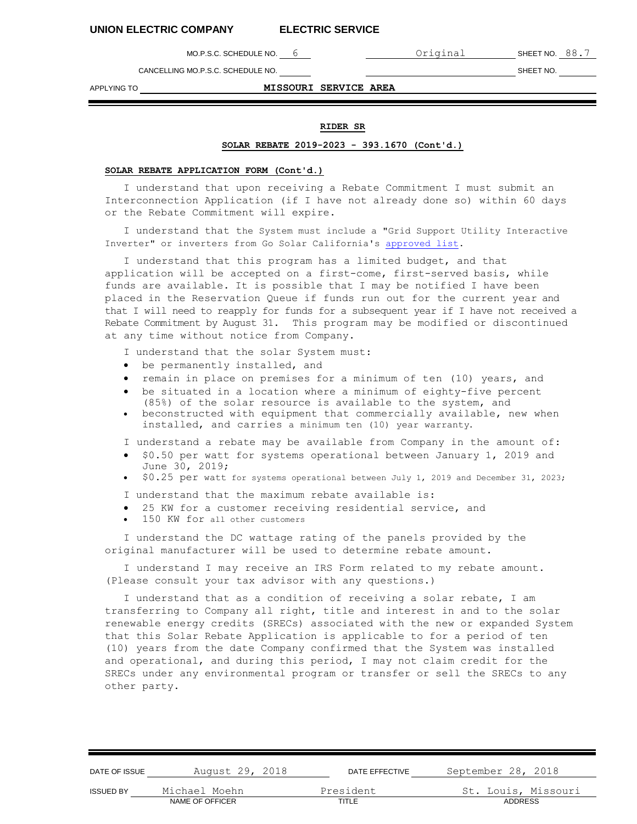MO.P.S.C. SCHEDULE NO. 6 Criginal SHEET NO. 88.7

CANCELLING MO.P.S.C. SCHEDULE NO. SHEET NO.

APPLYING TO **MISSOURI SERVICE AREA**

DATE OF ISSUE August 29, 2018 DATE EFFECTIVE September 28, 2018

# **RIDER SR**

# **SOLAR REBATE 2019-2023 - 393.1670 (Cont'd.)**

# **SOLAR REBATE APPLICATION FORM (Cont'd.)**

I understand that upon receiving a Rebate Commitment I must submit an Interconnection Application (if I have not already done so) within 60 days or the Rebate Commitment will expire.

I understand that the System must include a "Grid Support Utility Interactive Inverter" or inverters from Go Solar California's [approved list.](http://www.gosolarcalifornia.ca.gov/equipment/documents/Inverter_List_Full_Data.xlsx)

I understand that this program has a limited budget, and that application will be accepted on a first-come, first-served basis, while funds are available. It is possible that I may be notified I have been placed in the Reservation Queue if funds run out for the current year and that I will need to reapply for funds for a subsequent year if I have not received a Rebate Commitment by August 31. This program may be modified or discontinued at any time without notice from Company.

I understand that the solar System must:

- be permanently installed, and
- remain in place on premises for a minimum of ten (10) years, and
- be situated in a location where a minimum of eighty-five percent (85%) of the solar resource is available to the system, and
- beconstructed with equipment that commercially available, new when installed, and carries a minimum ten (10) year warranty.

I understand a rebate may be available from Company in the amount of:

- \$0.50 per watt for systems operational between January 1, 2019 and June 30, 2019;
- \$0.25 per watt for systems operational between July 1, 2019 and December 31, 2023;
- I understand that the maximum rebate available is:
- 25 KW for a customer receiving residential service, and
- 150 KW for all other customers

I understand the DC wattage rating of the panels provided by the original manufacturer will be used to determine rebate amount.

I understand I may receive an IRS Form related to my rebate amount. (Please consult your tax advisor with any questions.)

I understand that as a condition of receiving a solar rebate, I am transferring to Company all right, title and interest in and to the solar renewable energy credits (SRECs) associated with the new or expanded System that this Solar Rebate Application is applicable to for a period of ten (10) years from the date Company confirmed that the System was installed and operational, and during this period, I may not claim credit for the SRECs under any environmental program or transfer or sell the SRECs to any other party.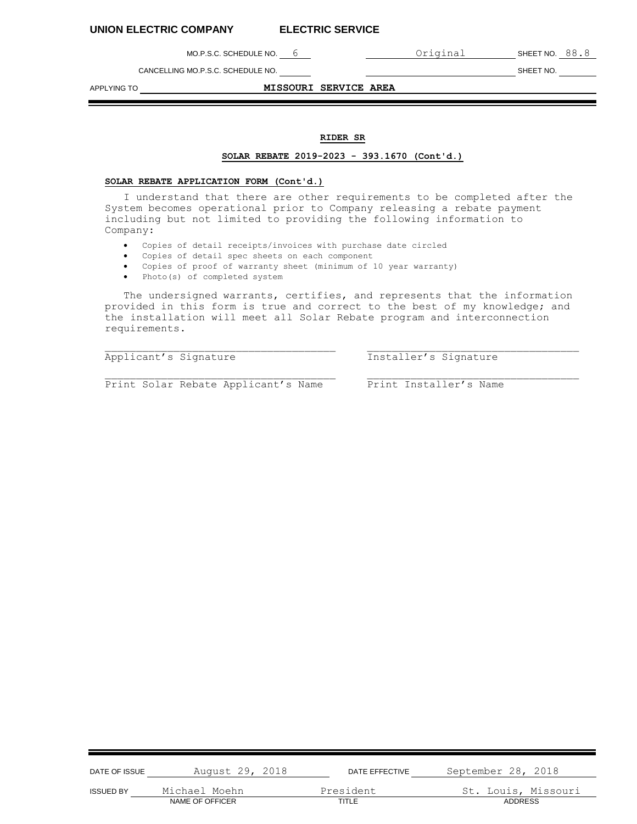MO.P.S.C. SCHEDULE NO. 6 **COLLE** Original SHEET NO. 88.8

CANCELLING MO.P.S.C. SCHEDULE NO. SHEET NO.

APPLYING TO **MISSOURI SERVICE AREA** 

# **RIDER SR**

# **SOLAR REBATE 2019-2023 - 393.1670 (Cont'd.)**

### **SOLAR REBATE APPLICATION FORM (Cont'd.)**

I understand that there are other requirements to be completed after the System becomes operational prior to Company releasing a rebate payment including but not limited to providing the following information to Company:

- Copies of detail receipts/invoices with purchase date circled
- Copies of detail spec sheets on each component
- Copies of proof of warranty sheet (minimum of 10 year warranty)
- Photo(s) of completed system

The undersigned warrants, certifies, and represents that the information provided in this form is true and correct to the best of my knowledge; and the installation will meet all Solar Rebate program and interconnection requirements.

Applicant's Signature Installer's Signature

Print Solar Rebate Applicant's Name Print Installer's Name

| DATE OF ISSUE    | August 29, 2018 | DATE EFFECTIVE | September 28, 2018  |
|------------------|-----------------|----------------|---------------------|
| <b>ISSUED BY</b> | Michael Moehn   | President      | St. Louis, Missouri |
|                  | NAME OF OFFICER | TITLE          | <b>ADDRESS</b>      |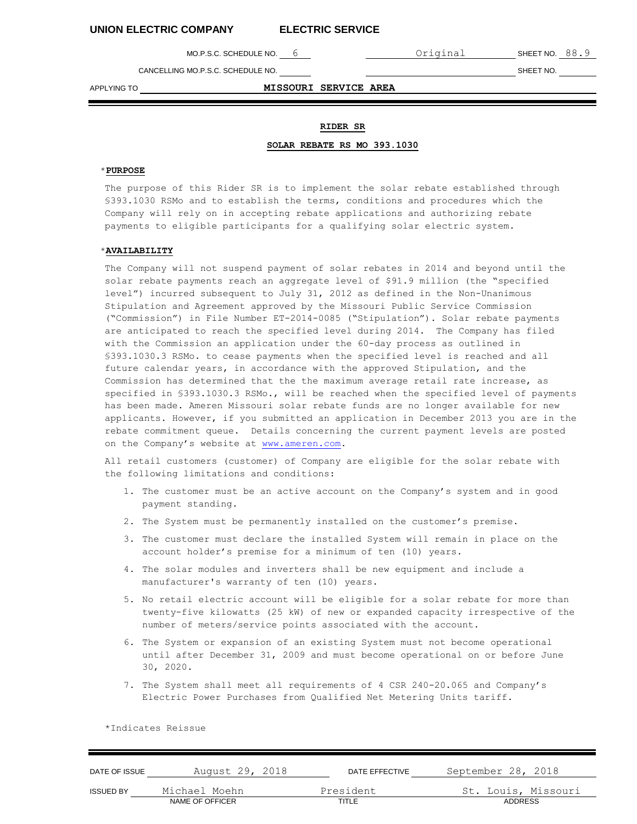MO.P.S.C. SCHEDULE NO. 6 Criginal SHEET NO. 88.9

CANCELLING MO.P.S.C. SCHEDULE NO. SHEET NO.

APPLYING TO **MISSOURI SERVICE AREA**

# **RIDER SR**

#### **SOLAR REBATE RS MO 393.1030**

# \***PURPOSE**

The purpose of this Rider SR is to implement the solar rebate established through §393.1030 RSMo and to establish the terms, conditions and procedures which the Company will rely on in accepting rebate applications and authorizing rebate payments to eligible participants for a qualifying solar electric system.

# \***AVAILABILITY**

The Company will not suspend payment of solar rebates in 2014 and beyond until the solar rebate payments reach an aggregate level of \$91.9 million (the "specified level") incurred subsequent to July 31, 2012 as defined in the Non-Unanimous Stipulation and Agreement approved by the Missouri Public Service Commission ("Commission") in File Number ET-2014-0085 ("Stipulation"). Solar rebate payments are anticipated to reach the specified level during 2014. The Company has filed with the Commission an application under the 60-day process as outlined in §393.1030.3 RSMo. to cease payments when the specified level is reached and all future calendar years, in accordance with the approved Stipulation, and the Commission has determined that the the maximum average retail rate increase, as specified in §393.1030.3 RSMo., will be reached when the specified level of payments has been made. Ameren Missouri solar rebate funds are no longer available for new applicants. However, if you submitted an application in December 2013 you are in the rebate commitment queue. Details concerning the current payment levels are posted on the Company's website at [www.ameren.com.](http://www.ameren.com/)

All retail customers (customer) of Company are eligible for the solar rebate with the following limitations and conditions:

- 1. The customer must be an active account on the Company's system and in good payment standing.
- 2. The System must be permanently installed on the customer's premise.
- 3. The customer must declare the installed System will remain in place on the account holder's premise for a minimum of ten (10) years.
- 4. The solar modules and inverters shall be new equipment and include a manufacturer's warranty of ten (10) years.
- 5. No retail electric account will be eligible for a solar rebate for more than twenty-five kilowatts (25 kW) of new or expanded capacity irrespective of the number of meters/service points associated with the account.
- 6. The System or expansion of an existing System must not become operational until after December 31, 2009 and must become operational on or before June 30, 2020.
- 7. The System shall meet all requirements of 4 CSR 240-20.065 and Company's Electric Power Purchases from Qualified Net Metering Units tariff.

| DATE OF ISSUE    | August 29, 2018 | DATE EFFECTIVE | September 28, 2018  |
|------------------|-----------------|----------------|---------------------|
| <b>ISSUED BY</b> | Michael Moehn   | President      | St. Louis, Missouri |
|                  | NAME OF OFFICER | TITLE          | <b>ADDRESS</b>      |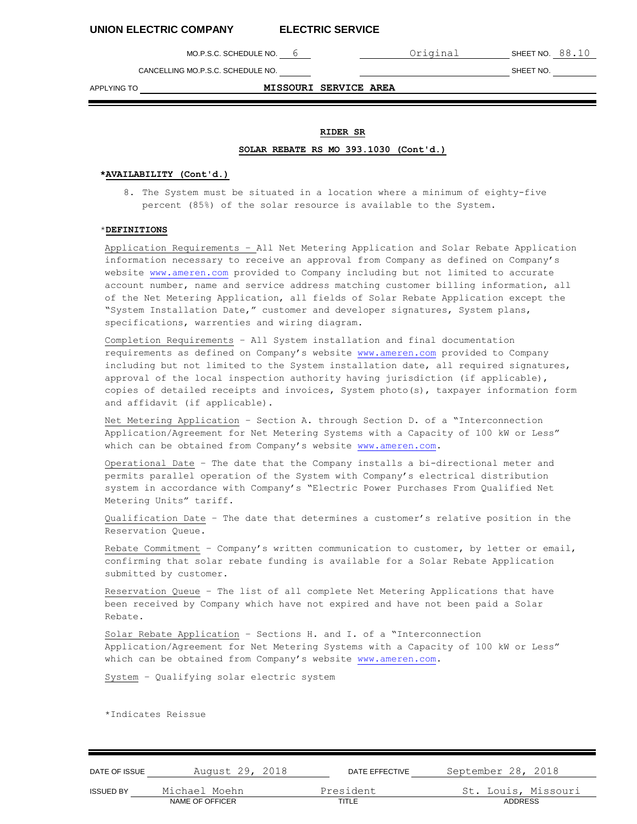MO.P.S.C. SCHEDULE NO. 6 **CONTACT CONTACT CONTACT CONTACT SHEET NO.** 88.10

CANCELLING MO.P.S.C. SCHEDULE NO. SHEET NO.

APPLYING TO **MISSOURI SERVICE AREA**

# **RIDER SR**

# **SOLAR REBATE RS MO 393.1030 (Cont'd.)**

### **\*AVAILABILITY (Cont'd.)**

8. The System must be situated in a location where a minimum of eighty-five percent (85%) of the solar resource is available to the System.

# \***DEFINITIONS**

Application Requirements – All Net Metering Application and Solar Rebate Application information necessary to receive an approval from Company as defined on Company's website [www.ameren.com](http://www.ameren.com/) provided to Company including but not limited to accurate account number, name and service address matching customer billing information, all of the Net Metering Application, all fields of Solar Rebate Application except the "System Installation Date," customer and developer signatures, System plans, specifications, warrenties and wiring diagram.

Completion Requirements – All System installation and final documentation requirements as defined on Company's website [www.ameren.com](http://www.ameren.com/) provided to Company including but not limited to the System installation date, all required signatures, approval of the local inspection authority having jurisdiction (if applicable), copies of detailed receipts and invoices, System photo(s), taxpayer information form and affidavit (if applicable).

Net Metering Application – Section A. through Section D. of a "Interconnection Application/Agreement for Net Metering Systems with a Capacity of 100 kW or Less" which can be obtained from Company's website [www.ameren.com.](http://www.ameren.com/)

Operational Date – The date that the Company installs a bi-directional meter and permits parallel operation of the System with Company's electrical distribution system in accordance with Company's "Electric Power Purchases From Qualified Net Metering Units" tariff.

Qualification Date – The date that determines a customer's relative position in the Reservation Queue.

Rebate Commitment – Company's written communication to customer, by letter or email, confirming that solar rebate funding is available for a Solar Rebate Application submitted by customer.

Reservation Queue – The list of all complete Net Metering Applications that have been received by Company which have not expired and have not been paid a Solar Rebate.

Solar Rebate Application – Sections H. and I. of a "Interconnection Application/Agreement for Net Metering Systems with a Capacity of 100 kW or Less" which can be obtained from Company's website [www.ameren.com.](http://www.ameren.com/)

System – Qualifying solar electric system

| DATE OF ISSUE    | August 29, 2018 | DATE EFFECTIVE | September 28, 2018  |
|------------------|-----------------|----------------|---------------------|
| <b>ISSUED BY</b> | Michael Moehn   | President      | St. Louis, Missouri |
|                  | NAME OF OFFICER | TITLE          | ADDRESS             |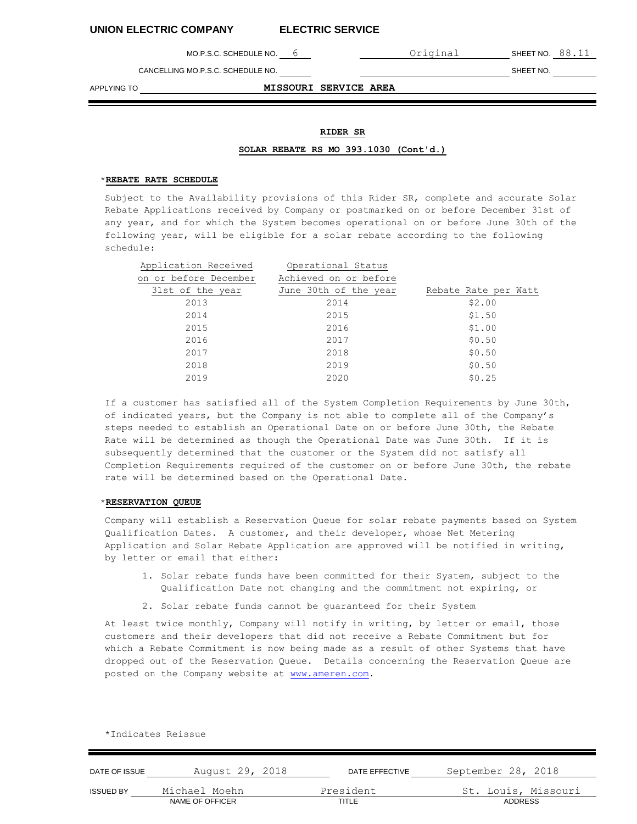MO.P.S.C. SCHEDULE NO. 6 **CONTACT CONTACT CONTACT CONTACT SHEET NO.** 88.11

CANCELLING MO.P.S.C. SCHEDULE NO. SHEET NO.

APPLYING TO **MISSOURI SERVICE AREA**

# **RIDER SR**

# **SOLAR REBATE RS MO 393.1030 (Cont'd.)**

# \***REBATE RATE SCHEDULE**

Subject to the Availability provisions of this Rider SR, complete and accurate Solar Rebate Applications received by Company or postmarked on or before December 31st of any year, and for which the System becomes operational on or before June 30th of the following year, will be eligible for a solar rebate according to the following schedule:

| Application Received  | Operational Status    |                      |
|-----------------------|-----------------------|----------------------|
| on or before December | Achieved on or before |                      |
| 31st of the year      | June 30th of the year | Rebate Rate per Watt |
| 2013                  | 2014                  | \$2.00               |
| 2014                  | 2015                  | \$1.50               |
| 2015                  | 2016                  | \$1.00               |
| 2016                  | 2017                  | \$0.50               |
| 2017                  | 2018                  | \$0.50               |
| 2018                  | 2019                  | \$0.50               |
| 2019                  | 2020                  | \$0.25               |

If a customer has satisfied all of the System Completion Requirements by June 30th, of indicated years, but the Company is not able to complete all of the Company's steps needed to establish an Operational Date on or before June 30th, the Rebate Rate will be determined as though the Operational Date was June 30th. If it is subsequently determined that the customer or the System did not satisfy all Completion Requirements required of the customer on or before June 30th, the rebate rate will be determined based on the Operational Date.

## \***RESERVATION QUEUE**

Company will establish a Reservation Queue for solar rebate payments based on System Qualification Dates. A customer, and their developer, whose Net Metering Application and Solar Rebate Application are approved will be notified in writing, by letter or email that either:

- 1. Solar rebate funds have been committed for their System, subject to the Qualification Date not changing and the commitment not expiring, or
- 2. Solar rebate funds cannot be guaranteed for their System

At least twice monthly, Company will notify in writing, by letter or email, those customers and their developers that did not receive a Rebate Commitment but for which a Rebate Commitment is now being made as a result of other Systems that have dropped out of the Reservation Queue. Details concerning the Reservation Queue are posted on the Company website at [www.ameren.com.](http://www.ameren.com/)

| DATE OF ISSUE    | August 29, 2018 | DATE EFFECTIVE | September 28, 2018  |
|------------------|-----------------|----------------|---------------------|
| <b>ISSUED BY</b> | Michael Moehn   | President      | St. Louis, Missouri |
|                  | NAME OF OFFICER | TITLE          | <b>ADDRESS</b>      |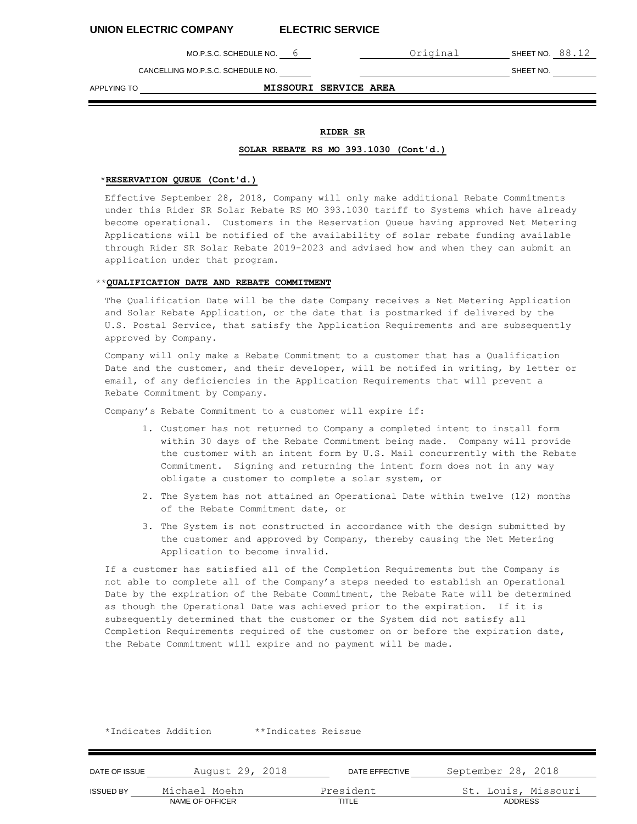MO.P.S.C. SCHEDULE NO. 6 **COMPLE 1** Original SHEET NO. 88.12

CANCELLING MO.P.S.C. SCHEDULE NO. SHEET NO.

APPLYING TO **MISSOURI SERVICE AREA**

# **RIDER SR**

# **SOLAR REBATE RS MO 393.1030 (Cont'd.)**

## \***RESERVATION QUEUE (Cont'd.)**

Effective September 28, 2018, Company will only make additional Rebate Commitments under this Rider SR Solar Rebate RS MO 393.1030 tariff to Systems which have already become operational. Customers in the Reservation Queue having approved Net Metering Applications will be notified of the availability of solar rebate funding available through Rider SR Solar Rebate 2019-2023 and advised how and when they can submit an application under that program.

#### \*\***QUALIFICATION DATE AND REBATE COMMITMENT**

The Qualification Date will be the date Company receives a Net Metering Application and Solar Rebate Application, or the date that is postmarked if delivered by the U.S. Postal Service, that satisfy the Application Requirements and are subsequently approved by Company.

Company will only make a Rebate Commitment to a customer that has a Qualification Date and the customer, and their developer, will be notifed in writing, by letter or email, of any deficiencies in the Application Requirements that will prevent a Rebate Commitment by Company.

Company's Rebate Commitment to a customer will expire if:

\*Indicates Addition \*\*Indicates Reissue

- 1. Customer has not returned to Company a completed intent to install form within 30 days of the Rebate Commitment being made. Company will provide the customer with an intent form by U.S. Mail concurrently with the Rebate Commitment. Signing and returning the intent form does not in any way obligate a customer to complete a solar system, or
- 2. The System has not attained an Operational Date within twelve (12) months of the Rebate Commitment date, or
- 3. The System is not constructed in accordance with the design submitted by the customer and approved by Company, thereby causing the Net Metering Application to become invalid.

If a customer has satisfied all of the Completion Requirements but the Company is not able to complete all of the Company's steps needed to establish an Operational Date by the expiration of the Rebate Commitment, the Rebate Rate will be determined as though the Operational Date was achieved prior to the expiration. If it is subsequently determined that the customer or the System did not satisfy all Completion Requirements required of the customer on or before the expiration date, the Rebate Commitment will expire and no payment will be made.

| DATE OF ISSUE    | August 29, 2018 | DATE EFFECTIVE | September 28, 2018  |
|------------------|-----------------|----------------|---------------------|
| <b>ISSUED BY</b> | Michael Moehn   | President      | St. Louis, Missouri |
|                  | NAME OF OFFICER | TITLE          | ADDRESS             |